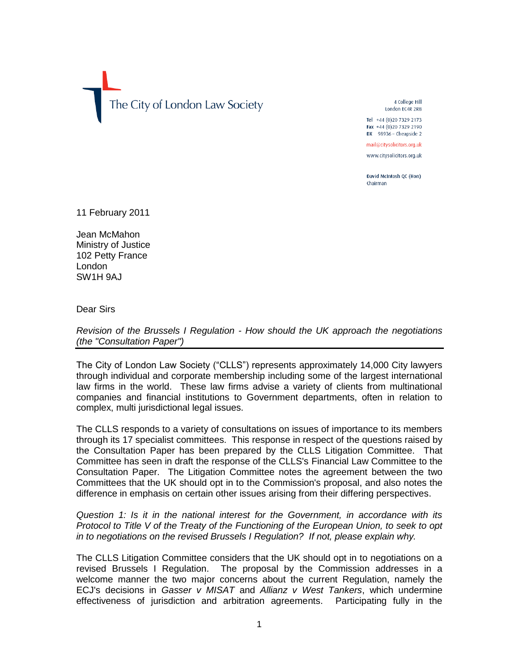The City of London Law Society

4 College Hill London EC4R 2RB

Tel +44 (0) 20 7329 2173 Fax +44 (0)20 7329 2190 DX 98936 - Cheapside 2

mail@citysolicitors.org.uk

www.citysolicitors.org.uk

David McIntosh OC (Hon) Chairman

11 February 2011

Jean McMahon Ministry of Justice 102 Petty France London SW1H 9AJ

Dear Sirs

*Revision of the Brussels I Regulation - How should the UK approach the negotiations (the "Consultation Paper")*

The City of London Law Society ("CLLS") represents approximately 14,000 City lawyers through individual and corporate membership including some of the largest international law firms in the world. These law firms advise a variety of clients from multinational companies and financial institutions to Government departments, often in relation to complex, multi jurisdictional legal issues.

The CLLS responds to a variety of consultations on issues of importance to its members through its 17 specialist committees. This response in respect of the questions raised by the Consultation Paper has been prepared by the CLLS Litigation Committee. That Committee has seen in draft the response of the CLLS's Financial Law Committee to the Consultation Paper. The Litigation Committee notes the agreement between the two Committees that the UK should opt in to the Commission's proposal, and also notes the difference in emphasis on certain other issues arising from their differing perspectives.

*Question 1: Is it in the national interest for the Government, in accordance with its Protocol to Title V of the Treaty of the Functioning of the European Union, to seek to opt in to negotiations on the revised Brussels I Regulation? If not, please explain why.*

The CLLS Litigation Committee considers that the UK should opt in to negotiations on a revised Brussels I Regulation. The proposal by the Commission addresses in a welcome manner the two major concerns about the current Regulation, namely the ECJ's decisions in *Gasser v MISAT* and *Allianz v West Tankers*, which undermine effectiveness of jurisdiction and arbitration agreements. Participating fully in the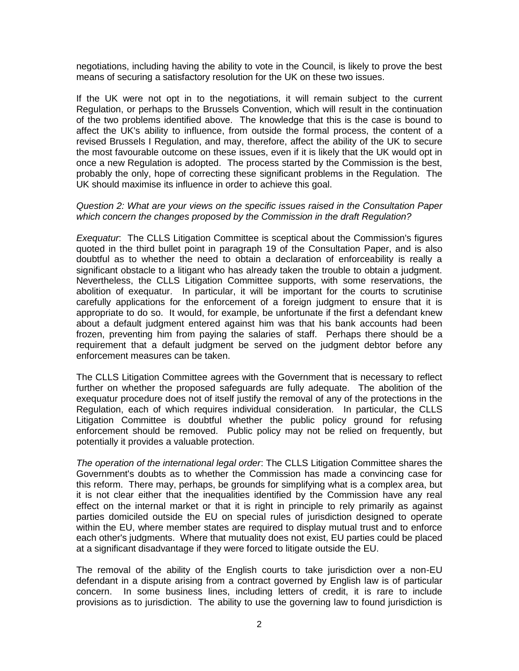negotiations, including having the ability to vote in the Council, is likely to prove the best means of securing a satisfactory resolution for the UK on these two issues.

If the UK were not opt in to the negotiations, it will remain subject to the current Regulation, or perhaps to the Brussels Convention, which will result in the continuation of the two problems identified above. The knowledge that this is the case is bound to affect the UK's ability to influence, from outside the formal process, the content of a revised Brussels I Regulation, and may, therefore, affect the ability of the UK to secure the most favourable outcome on these issues, even if it is likely that the UK would opt in once a new Regulation is adopted. The process started by the Commission is the best, probably the only, hope of correcting these significant problems in the Regulation. The UK should maximise its influence in order to achieve this goal.

## *Question 2: What are your views on the specific issues raised in the Consultation Paper which concern the changes proposed by the Commission in the draft Regulation?*

*Exequatur*: The CLLS Litigation Committee is sceptical about the Commission's figures quoted in the third bullet point in paragraph 19 of the Consultation Paper, and is also doubtful as to whether the need to obtain a declaration of enforceability is really a significant obstacle to a litigant who has already taken the trouble to obtain a judgment. Nevertheless, the CLLS Litigation Committee supports, with some reservations, the abolition of exequatur. In particular, it will be important for the courts to scrutinise carefully applications for the enforcement of a foreign judgment to ensure that it is appropriate to do so. It would, for example, be unfortunate if the first a defendant knew about a default judgment entered against him was that his bank accounts had been frozen, preventing him from paying the salaries of staff. Perhaps there should be a requirement that a default judgment be served on the judgment debtor before any enforcement measures can be taken.

The CLLS Litigation Committee agrees with the Government that is necessary to reflect further on whether the proposed safeguards are fully adequate. The abolition of the exequatur procedure does not of itself justify the removal of any of the protections in the Regulation, each of which requires individual consideration. In particular, the CLLS Litigation Committee is doubtful whether the public policy ground for refusing enforcement should be removed. Public policy may not be relied on frequently, but potentially it provides a valuable protection.

*The operation of the international legal order*: The CLLS Litigation Committee shares the Government's doubts as to whether the Commission has made a convincing case for this reform. There may, perhaps, be grounds for simplifying what is a complex area, but it is not clear either that the inequalities identified by the Commission have any real effect on the internal market or that it is right in principle to rely primarily as against parties domiciled outside the EU on special rules of jurisdiction designed to operate within the EU, where member states are required to display mutual trust and to enforce each other's judgments. Where that mutuality does not exist, EU parties could be placed at a significant disadvantage if they were forced to litigate outside the EU.

The removal of the ability of the English courts to take jurisdiction over a non-EU defendant in a dispute arising from a contract governed by English law is of particular concern. In some business lines, including letters of credit, it is rare to include provisions as to jurisdiction. The ability to use the governing law to found jurisdiction is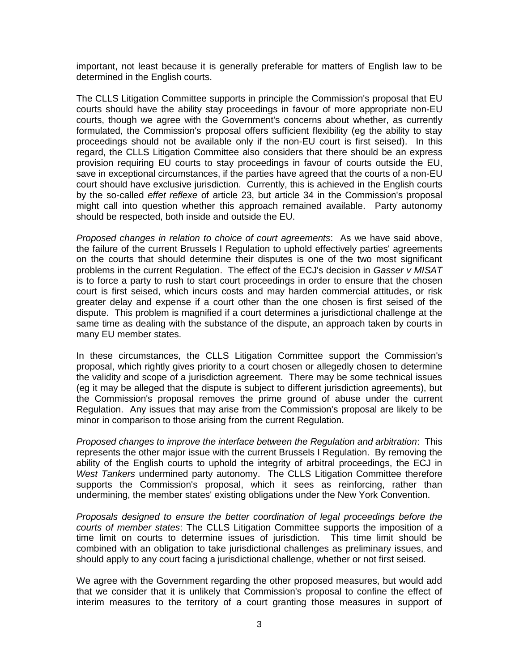important, not least because it is generally preferable for matters of English law to be determined in the English courts.

The CLLS Litigation Committee supports in principle the Commission's proposal that EU courts should have the ability stay proceedings in favour of more appropriate non-EU courts, though we agree with the Government's concerns about whether, as currently formulated, the Commission's proposal offers sufficient flexibility (eg the ability to stay proceedings should not be available only if the non-EU court is first seised). In this regard, the CLLS Litigation Committee also considers that there should be an express provision requiring EU courts to stay proceedings in favour of courts outside the EU, save in exceptional circumstances, if the parties have agreed that the courts of a non-EU court should have exclusive jurisdiction. Currently, this is achieved in the English courts by the so-called *effet reflexe* of article 23, but article 34 in the Commission's proposal might call into question whether this approach remained available. Party autonomy should be respected, both inside and outside the EU.

*Proposed changes in relation to choice of court agreements*: As we have said above, the failure of the current Brussels I Regulation to uphold effectively parties' agreements on the courts that should determine their disputes is one of the two most significant problems in the current Regulation. The effect of the ECJ's decision in *Gasser v MISAT* is to force a party to rush to start court proceedings in order to ensure that the chosen court is first seised, which incurs costs and may harden commercial attitudes, or risk greater delay and expense if a court other than the one chosen is first seised of the dispute. This problem is magnified if a court determines a jurisdictional challenge at the same time as dealing with the substance of the dispute, an approach taken by courts in many EU member states.

In these circumstances, the CLLS Litigation Committee support the Commission's proposal, which rightly gives priority to a court chosen or allegedly chosen to determine the validity and scope of a jurisdiction agreement. There may be some technical issues (eg it may be alleged that the dispute is subject to different jurisdiction agreements), but the Commission's proposal removes the prime ground of abuse under the current Regulation. Any issues that may arise from the Commission's proposal are likely to be minor in comparison to those arising from the current Regulation.

*Proposed changes to improve the interface between the Regulation and arbitration*: This represents the other major issue with the current Brussels I Regulation. By removing the ability of the English courts to uphold the integrity of arbitral proceedings, the ECJ in *West Tankers* undermined party autonomy. The CLLS Litigation Committee therefore supports the Commission's proposal, which it sees as reinforcing, rather than undermining, the member states' existing obligations under the New York Convention.

*Proposals designed to ensure the better coordination of legal proceedings before the courts of member states*: The CLLS Litigation Committee supports the imposition of a time limit on courts to determine issues of jurisdiction. This time limit should be combined with an obligation to take jurisdictional challenges as preliminary issues, and should apply to any court facing a jurisdictional challenge, whether or not first seised.

We agree with the Government regarding the other proposed measures, but would add that we consider that it is unlikely that Commission's proposal to confine the effect of interim measures to the territory of a court granting those measures in support of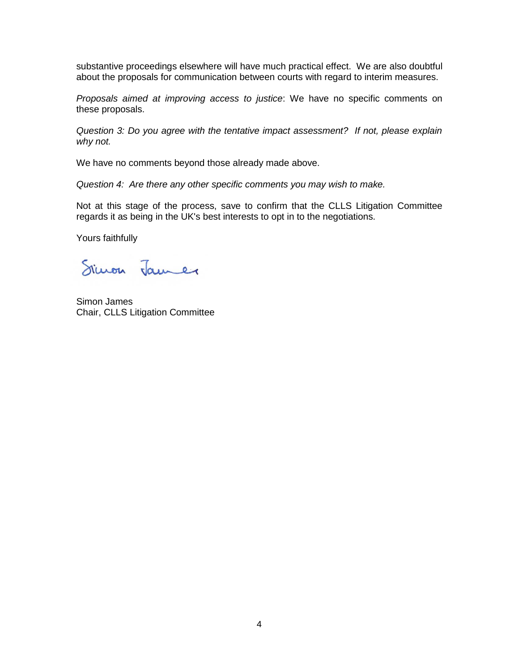substantive proceedings elsewhere will have much practical effect. We are also doubtful about the proposals for communication between courts with regard to interim measures.

*Proposals aimed at improving access to justice*: We have no specific comments on these proposals.

*Question 3: Do you agree with the tentative impact assessment? If not, please explain why not.*

We have no comments beyond those already made above.

*Question 4: Are there any other specific comments you may wish to make.*

Not at this stage of the process, save to confirm that the CLLS Litigation Committee regards it as being in the UK's best interests to opt in to the negotiations.

Yours faithfully

Simon James

Simon James Chair, CLLS Litigation Committee